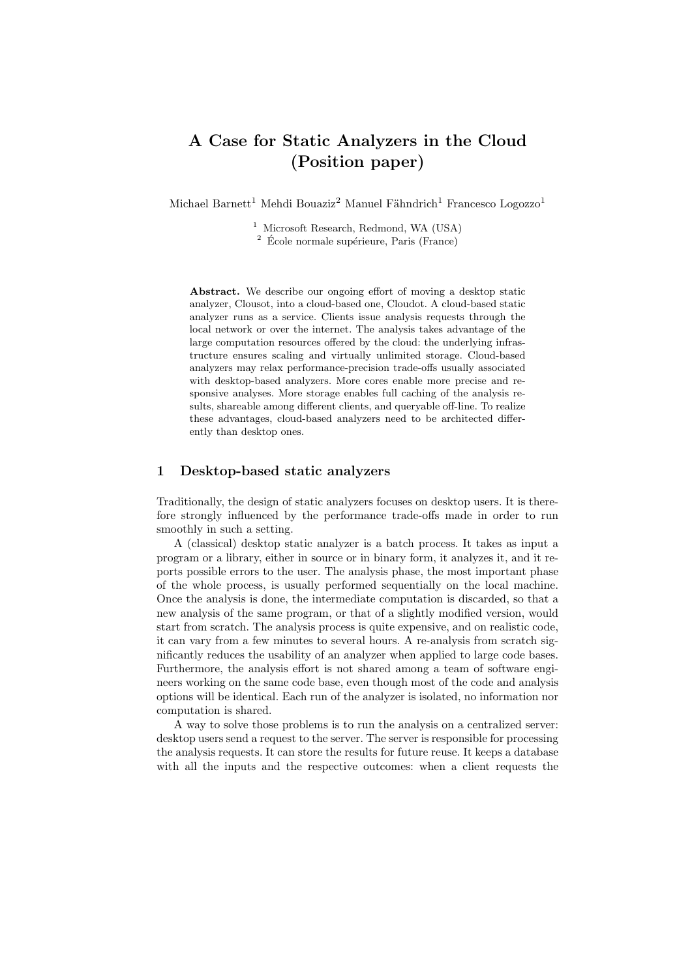# A Case for Static Analyzers in the Cloud (Position paper)

Michael Barnett<sup>1</sup> Mehdi Bouaziz<sup>2</sup> Manuel Fähndrich<sup>1</sup> Francesco Logozzo<sup>1</sup>

<sup>1</sup> Microsoft Research, Redmond, WA (USA)

 $^2\,$  École normale supérieure, Paris (France)

Abstract. We describe our ongoing effort of moving a desktop static analyzer, Clousot, into a cloud-based one, Cloudot. A cloud-based static analyzer runs as a service. Clients issue analysis requests through the local network or over the internet. The analysis takes advantage of the large computation resources offered by the cloud: the underlying infrastructure ensures scaling and virtually unlimited storage. Cloud-based analyzers may relax performance-precision trade-offs usually associated with desktop-based analyzers. More cores enable more precise and responsive analyses. More storage enables full caching of the analysis results, shareable among different clients, and queryable off-line. To realize these advantages, cloud-based analyzers need to be architected differently than desktop ones.

#### 1 Desktop-based static analyzers

Traditionally, the design of static analyzers focuses on desktop users. It is therefore strongly influenced by the performance trade-offs made in order to run smoothly in such a setting.

A (classical) desktop static analyzer is a batch process. It takes as input a program or a library, either in source or in binary form, it analyzes it, and it reports possible errors to the user. The analysis phase, the most important phase of the whole process, is usually performed sequentially on the local machine. Once the analysis is done, the intermediate computation is discarded, so that a new analysis of the same program, or that of a slightly modified version, would start from scratch. The analysis process is quite expensive, and on realistic code, it can vary from a few minutes to several hours. A re-analysis from scratch significantly reduces the usability of an analyzer when applied to large code bases. Furthermore, the analysis effort is not shared among a team of software engineers working on the same code base, even though most of the code and analysis options will be identical. Each run of the analyzer is isolated, no information nor computation is shared.

A way to solve those problems is to run the analysis on a centralized server: desktop users send a request to the server. The server is responsible for processing the analysis requests. It can store the results for future reuse. It keeps a database with all the inputs and the respective outcomes: when a client requests the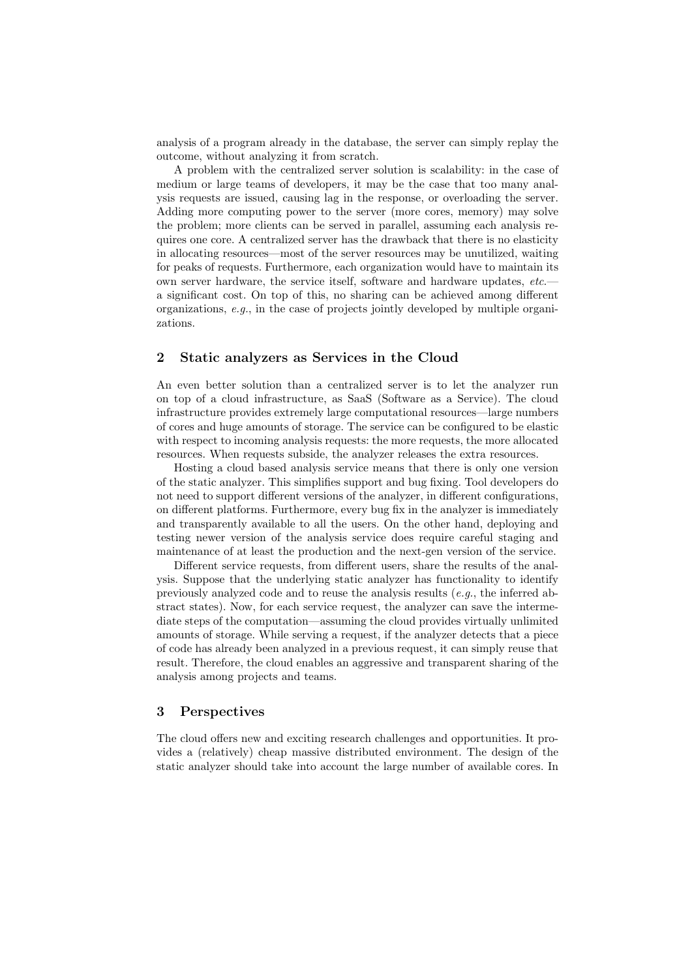analysis of a program already in the database, the server can simply replay the outcome, without analyzing it from scratch.

A problem with the centralized server solution is scalability: in the case of medium or large teams of developers, it may be the case that too many analysis requests are issued, causing lag in the response, or overloading the server. Adding more computing power to the server (more cores, memory) may solve the problem; more clients can be served in parallel, assuming each analysis requires one core. A centralized server has the drawback that there is no elasticity in allocating resources—most of the server resources may be unutilized, waiting for peaks of requests. Furthermore, each organization would have to maintain its own server hardware, the service itself, software and hardware updates, etc. a significant cost. On top of this, no sharing can be achieved among different organizations, e.g., in the case of projects jointly developed by multiple organizations.

### 2 Static analyzers as Services in the Cloud

An even better solution than a centralized server is to let the analyzer run on top of a cloud infrastructure, as SaaS (Software as a Service). The cloud infrastructure provides extremely large computational resources—large numbers of cores and huge amounts of storage. The service can be configured to be elastic with respect to incoming analysis requests: the more requests, the more allocated resources. When requests subside, the analyzer releases the extra resources.

Hosting a cloud based analysis service means that there is only one version of the static analyzer. This simplifies support and bug fixing. Tool developers do not need to support different versions of the analyzer, in different configurations, on different platforms. Furthermore, every bug fix in the analyzer is immediately and transparently available to all the users. On the other hand, deploying and testing newer version of the analysis service does require careful staging and maintenance of at least the production and the next-gen version of the service.

Different service requests, from different users, share the results of the analysis. Suppose that the underlying static analyzer has functionality to identify previously analyzed code and to reuse the analysis results (e.g., the inferred abstract states). Now, for each service request, the analyzer can save the intermediate steps of the computation—assuming the cloud provides virtually unlimited amounts of storage. While serving a request, if the analyzer detects that a piece of code has already been analyzed in a previous request, it can simply reuse that result. Therefore, the cloud enables an aggressive and transparent sharing of the analysis among projects and teams.

## 3 Perspectives

The cloud offers new and exciting research challenges and opportunities. It provides a (relatively) cheap massive distributed environment. The design of the static analyzer should take into account the large number of available cores. In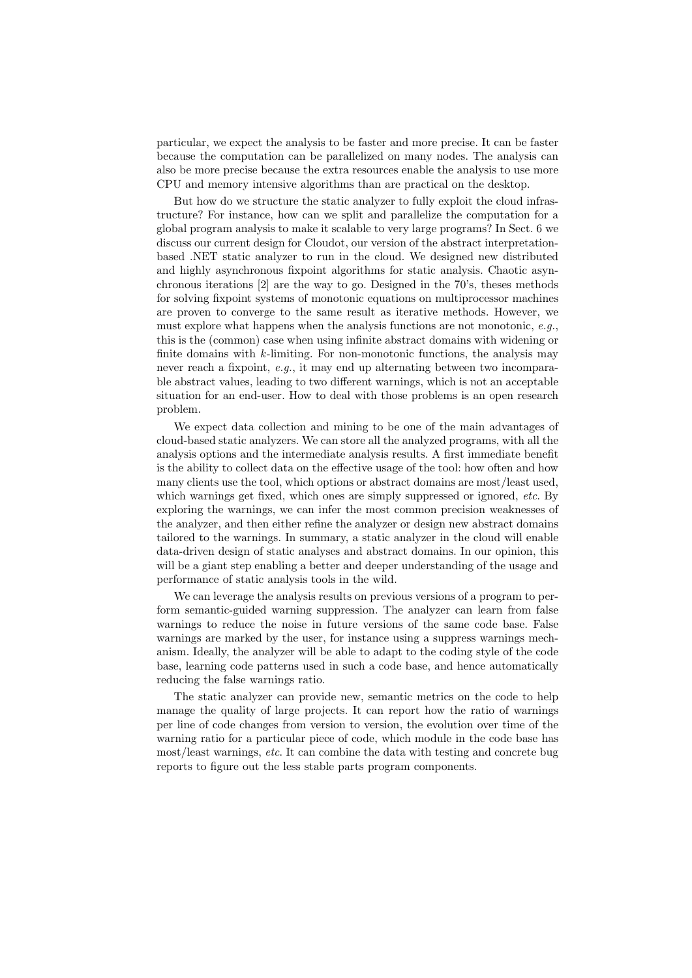particular, we expect the analysis to be faster and more precise. It can be faster because the computation can be parallelized on many nodes. The analysis can also be more precise because the extra resources enable the analysis to use more CPU and memory intensive algorithms than are practical on the desktop.

But how do we structure the static analyzer to fully exploit the cloud infrastructure? For instance, how can we split and parallelize the computation for a global program analysis to make it scalable to very large programs? In Sect. 6 we discuss our current design for Cloudot, our version of the abstract interpretationbased .NET static analyzer to run in the cloud. We designed new distributed and highly asynchronous fixpoint algorithms for static analysis. Chaotic asynchronous iterations [2] are the way to go. Designed in the 70's, theses methods for solving fixpoint systems of monotonic equations on multiprocessor machines are proven to converge to the same result as iterative methods. However, we must explore what happens when the analysis functions are not monotonic, e.g., this is the (common) case when using infinite abstract domains with widening or finite domains with  $k$ -limiting. For non-monotonic functions, the analysis may never reach a fixpoint, e.g., it may end up alternating between two incomparable abstract values, leading to two different warnings, which is not an acceptable situation for an end-user. How to deal with those problems is an open research problem.

We expect data collection and mining to be one of the main advantages of cloud-based static analyzers. We can store all the analyzed programs, with all the analysis options and the intermediate analysis results. A first immediate benefit is the ability to collect data on the effective usage of the tool: how often and how many clients use the tool, which options or abstract domains are most/least used, which warnings get fixed, which ones are simply suppressed or ignored, etc. By exploring the warnings, we can infer the most common precision weaknesses of the analyzer, and then either refine the analyzer or design new abstract domains tailored to the warnings. In summary, a static analyzer in the cloud will enable data-driven design of static analyses and abstract domains. In our opinion, this will be a giant step enabling a better and deeper understanding of the usage and performance of static analysis tools in the wild.

We can leverage the analysis results on previous versions of a program to perform semantic-guided warning suppression. The analyzer can learn from false warnings to reduce the noise in future versions of the same code base. False warnings are marked by the user, for instance using a suppress warnings mechanism. Ideally, the analyzer will be able to adapt to the coding style of the code base, learning code patterns used in such a code base, and hence automatically reducing the false warnings ratio.

The static analyzer can provide new, semantic metrics on the code to help manage the quality of large projects. It can report how the ratio of warnings per line of code changes from version to version, the evolution over time of the warning ratio for a particular piece of code, which module in the code base has most/least warnings, etc. It can combine the data with testing and concrete bug reports to figure out the less stable parts program components.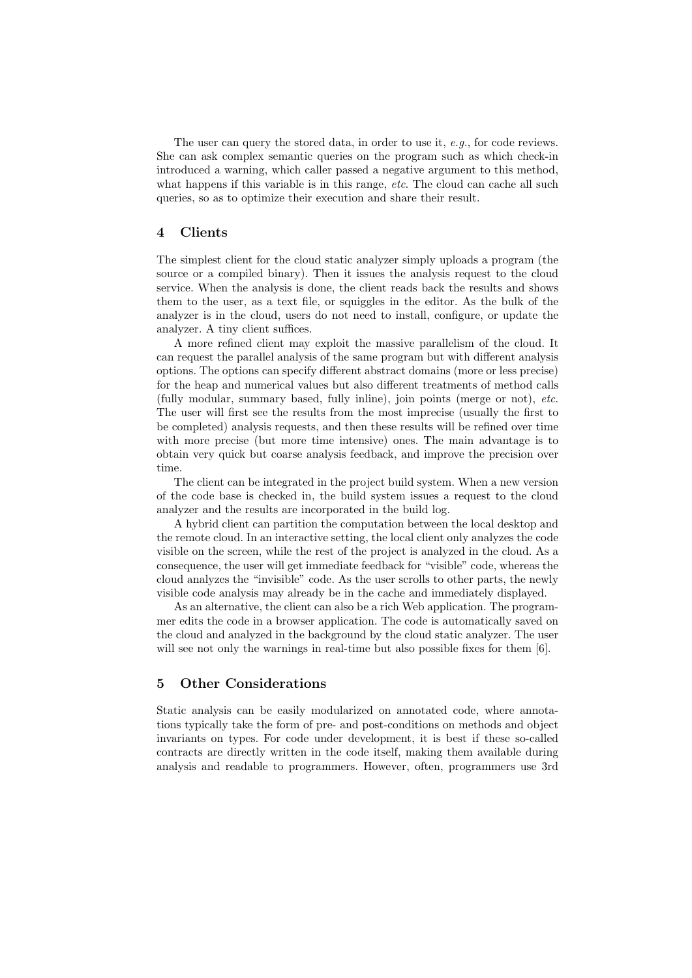The user can query the stored data, in order to use it, e.g., for code reviews. She can ask complex semantic queries on the program such as which check-in introduced a warning, which caller passed a negative argument to this method, what happens if this variable is in this range, etc. The cloud can cache all such queries, so as to optimize their execution and share their result.

## 4 Clients

The simplest client for the cloud static analyzer simply uploads a program (the source or a compiled binary). Then it issues the analysis request to the cloud service. When the analysis is done, the client reads back the results and shows them to the user, as a text file, or squiggles in the editor. As the bulk of the analyzer is in the cloud, users do not need to install, configure, or update the analyzer. A tiny client suffices.

A more refined client may exploit the massive parallelism of the cloud. It can request the parallel analysis of the same program but with different analysis options. The options can specify different abstract domains (more or less precise) for the heap and numerical values but also different treatments of method calls (fully modular, summary based, fully inline), join points (merge or not), etc. The user will first see the results from the most imprecise (usually the first to be completed) analysis requests, and then these results will be refined over time with more precise (but more time intensive) ones. The main advantage is to obtain very quick but coarse analysis feedback, and improve the precision over time.

The client can be integrated in the project build system. When a new version of the code base is checked in, the build system issues a request to the cloud analyzer and the results are incorporated in the build log.

A hybrid client can partition the computation between the local desktop and the remote cloud. In an interactive setting, the local client only analyzes the code visible on the screen, while the rest of the project is analyzed in the cloud. As a consequence, the user will get immediate feedback for "visible" code, whereas the cloud analyzes the "invisible" code. As the user scrolls to other parts, the newly visible code analysis may already be in the cache and immediately displayed.

As an alternative, the client can also be a rich Web application. The programmer edits the code in a browser application. The code is automatically saved on the cloud and analyzed in the background by the cloud static analyzer. The user will see not only the warnings in real-time but also possible fixes for them  $[6]$ .

## 5 Other Considerations

Static analysis can be easily modularized on annotated code, where annotations typically take the form of pre- and post-conditions on methods and object invariants on types. For code under development, it is best if these so-called contracts are directly written in the code itself, making them available during analysis and readable to programmers. However, often, programmers use 3rd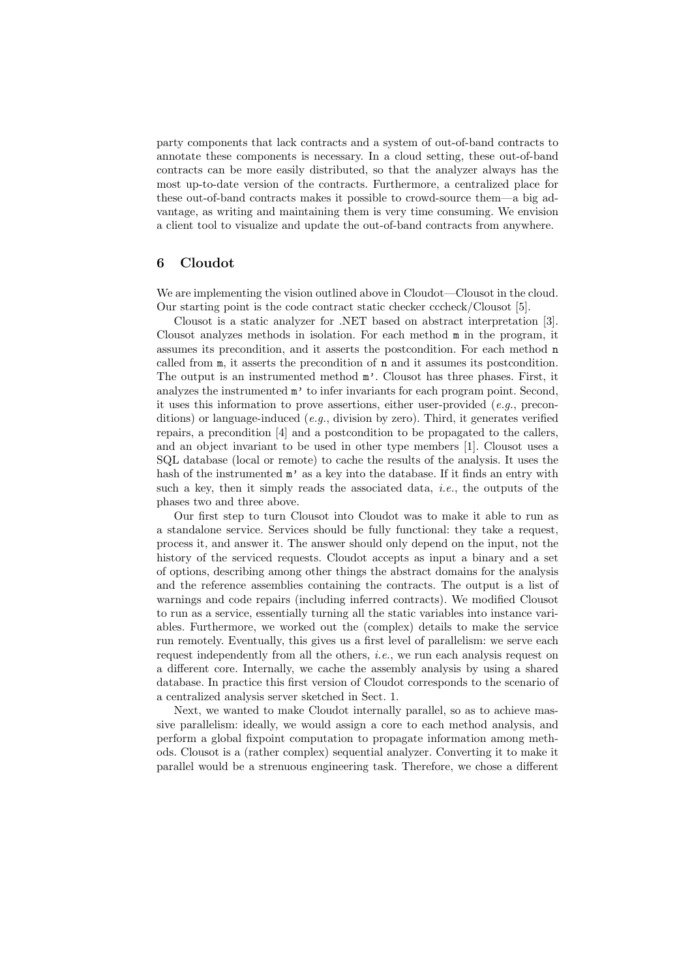party components that lack contracts and a system of out-of-band contracts to annotate these components is necessary. In a cloud setting, these out-of-band contracts can be more easily distributed, so that the analyzer always has the most up-to-date version of the contracts. Furthermore, a centralized place for these out-of-band contracts makes it possible to crowd-source them—a big advantage, as writing and maintaining them is very time consuming. We envision a client tool to visualize and update the out-of-band contracts from anywhere.

### 6 Cloudot

We are implementing the vision outlined above in Cloudot—Clousot in the cloud. Our starting point is the code contract static checker cccheck/Clousot [5].

Clousot is a static analyzer for .NET based on abstract interpretation [3]. Clousot analyzes methods in isolation. For each method m in the program, it assumes its precondition, and it asserts the postcondition. For each method n called from m, it asserts the precondition of n and it assumes its postcondition. The output is an instrumented method m'. Clousot has three phases. First, it analyzes the instrumented m' to infer invariants for each program point. Second, it uses this information to prove assertions, either user-provided (e.g., preconditions) or language-induced (e.g., division by zero). Third, it generates verified repairs, a precondition [4] and a postcondition to be propagated to the callers, and an object invariant to be used in other type members [1]. Clousot uses a SQL database (local or remote) to cache the results of the analysis. It uses the hash of the instrumented  $m'$  as a key into the database. If it finds an entry with such a key, then it simply reads the associated data, *i.e.*, the outputs of the phases two and three above.

Our first step to turn Clousot into Cloudot was to make it able to run as a standalone service. Services should be fully functional: they take a request, process it, and answer it. The answer should only depend on the input, not the history of the serviced requests. Cloudot accepts as input a binary and a set of options, describing among other things the abstract domains for the analysis and the reference assemblies containing the contracts. The output is a list of warnings and code repairs (including inferred contracts). We modified Clousot to run as a service, essentially turning all the static variables into instance variables. Furthermore, we worked out the (complex) details to make the service run remotely. Eventually, this gives us a first level of parallelism: we serve each request independently from all the others, i.e., we run each analysis request on a different core. Internally, we cache the assembly analysis by using a shared database. In practice this first version of Cloudot corresponds to the scenario of a centralized analysis server sketched in Sect. 1.

Next, we wanted to make Cloudot internally parallel, so as to achieve massive parallelism: ideally, we would assign a core to each method analysis, and perform a global fixpoint computation to propagate information among methods. Clousot is a (rather complex) sequential analyzer. Converting it to make it parallel would be a strenuous engineering task. Therefore, we chose a different